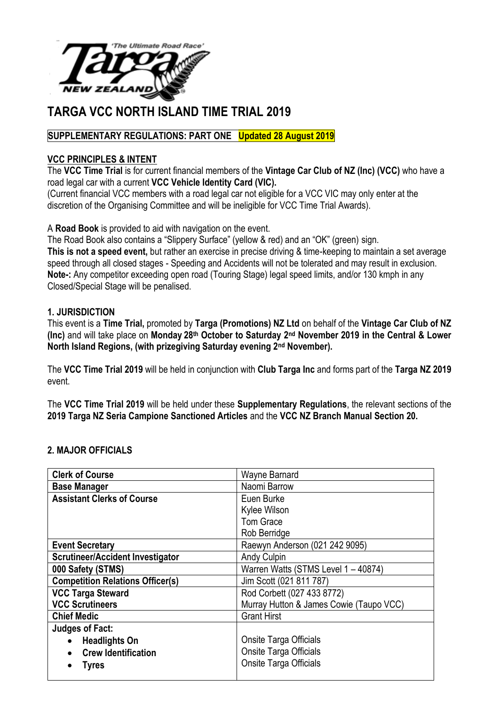

# **TARGA VCC NORTH ISLAND TIME TRIAL 2019**

# **SUPPLEMENTARY REGULATIONS: PART ONE Updated 28 August 2019**

## **VCC PRINCIPLES & INTENT**

The **VCC Time Trial** is for current financial members of the **Vintage Car Club of NZ (Inc) (VCC)** who have a road legal car with a current **VCC Vehicle Identity Card (VIC).**

(Current financial VCC members with a road legal car not eligible for a VCC VIC may only enter at the discretion of the Organising Committee and will be ineligible for VCC Time Trial Awards).

#### A **Road Book** is provided to aid with navigation on the event.

The Road Book also contains a "Slippery Surface" (yellow & red) and an "OK" (green) sign. **This is not a speed event,** but rather an exercise in precise driving & time-keeping to maintain a set average speed through all closed stages - Speeding and Accidents will not be tolerated and may result in exclusion. **Note-:** Any competitor exceeding open road (Touring Stage) legal speed limits, and/or 130 kmph in any Closed/Special Stage will be penalised.

## **1. JURISDICTION**

This event is a **Time Trial,** promoted by **Targa (Promotions) NZ Ltd** on behalf of the **Vintage Car Club of NZ (Inc)** and will take place on **Monday 28th October to Saturday 2nd November 2019 in the Central & Lower North Island Regions, (with prizegiving Saturday evening 2nd November).**

The **VCC Time Trial 2019** will be held in conjunction with **Club Targa Inc** and forms part of the **Targa NZ 2019**  event.

The **VCC Time Trial 2019** will be held under these **Supplementary Regulations**, the relevant sections of the **2019 Targa NZ Seria Campione Sanctioned Articles** and the **VCC NZ Branch Manual Section 20.**

#### **2. MAJOR OFFICIALS**

| Naomi Barrow<br><b>Base Manager</b><br><b>Assistant Clerks of Course</b><br>Euen Burke<br>Kylee Wilson<br>Tom Grace<br>Rob Berridge<br>Raewyn Anderson (021 242 9095)<br><b>Event Secretary</b><br><b>Scrutineer/Accident Investigator</b><br><b>Andy Culpin</b> | <b>Clerk of Course</b> | Wayne Barnard                       |
|------------------------------------------------------------------------------------------------------------------------------------------------------------------------------------------------------------------------------------------------------------------|------------------------|-------------------------------------|
|                                                                                                                                                                                                                                                                  |                        |                                     |
|                                                                                                                                                                                                                                                                  |                        |                                     |
|                                                                                                                                                                                                                                                                  |                        |                                     |
|                                                                                                                                                                                                                                                                  |                        |                                     |
|                                                                                                                                                                                                                                                                  |                        |                                     |
|                                                                                                                                                                                                                                                                  |                        |                                     |
|                                                                                                                                                                                                                                                                  |                        |                                     |
|                                                                                                                                                                                                                                                                  | 000 Safety (STMS)      | Warren Watts (STMS Level 1 - 40874) |
| <b>Competition Relations Officer(s)</b><br>Jim Scott (021 811 787)                                                                                                                                                                                               |                        |                                     |
| Rod Corbett (027 433 8772)<br><b>VCC Targa Steward</b>                                                                                                                                                                                                           |                        |                                     |
| <b>VCC Scrutineers</b><br>Murray Hutton & James Cowie (Taupo VCC)                                                                                                                                                                                                |                        |                                     |
| <b>Grant Hirst</b><br><b>Chief Medic</b>                                                                                                                                                                                                                         |                        |                                     |
| <b>Judges of Fact:</b>                                                                                                                                                                                                                                           |                        |                                     |
| <b>Onsite Targa Officials</b><br><b>Headlights On</b><br>$\bullet$                                                                                                                                                                                               |                        |                                     |
| Onsite Targa Officials<br><b>Crew Identification</b>                                                                                                                                                                                                             |                        |                                     |
| Onsite Targa Officials<br><b>Tyres</b>                                                                                                                                                                                                                           |                        |                                     |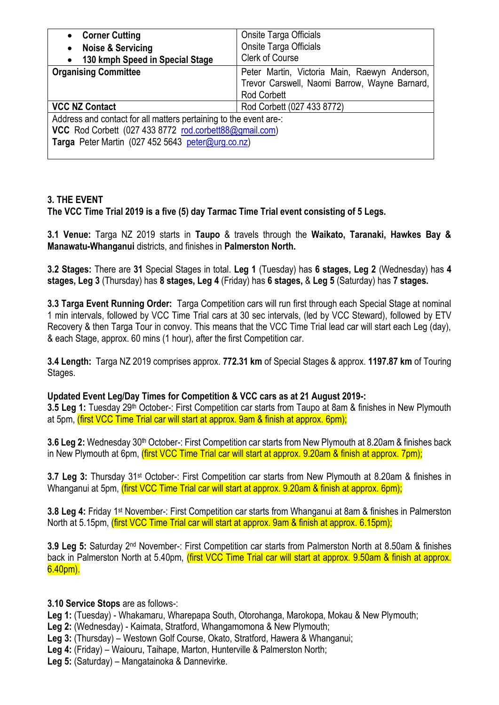| <b>Corner Cutting</b><br>$\bullet$                                | <b>Onsite Targa Officials</b>                 |  |
|-------------------------------------------------------------------|-----------------------------------------------|--|
| <b>Noise &amp; Servicing</b><br>$\bullet$                         | Onsite Targa Officials                        |  |
| 130 kmph Speed in Special Stage<br>$\bullet$                      | <b>Clerk of Course</b>                        |  |
| <b>Organising Committee</b>                                       | Peter Martin, Victoria Main, Raewyn Anderson, |  |
|                                                                   | Trevor Carswell, Naomi Barrow, Wayne Barnard, |  |
|                                                                   | <b>Rod Corbett</b>                            |  |
| <b>VCC NZ Contact</b>                                             | Rod Corbett (027 433 8772)                    |  |
| Address and contact for all matters pertaining to the event are-: |                                               |  |
| VCC Rod Corbett (027 433 8772 rod.corbett88@gmail.com)            |                                               |  |
| Targa Peter Martin (027 452 5643 peter@urg.co.nz)                 |                                               |  |
|                                                                   |                                               |  |

# **3. THE EVENT**

**The VCC Time Trial 2019 is a five (5) day Tarmac Time Trial event consisting of 5 Legs.**

**3.1 Venue:** Targa NZ 2019 starts in **Taupo** & travels through the **Waikato, Taranaki, Hawkes Bay & Manawatu-Whanganui** districts, and finishes in **Palmerston North.**

**3.2 Stages:** There are **31** Special Stages in total. **Leg 1** (Tuesday) has **6 stages, Leg 2** (Wednesday) has **4 stages, Leg 3** (Thursday) has **8 stages, Leg 4** (Friday) has **6 stages,** & **Leg 5** (Saturday) has **7 stages.**

**3.3 Targa Event Running Order:** Targa Competition cars will run first through each Special Stage at nominal 1 min intervals, followed by VCC Time Trial cars at 30 sec intervals, (led by VCC Steward), followed by ETV Recovery & then Targa Tour in convoy. This means that the VCC Time Trial lead car will start each Leg (day), & each Stage, approx. 60 mins (1 hour), after the first Competition car.

**3.4 Length:** Targa NZ 2019 comprises approx. **772.31 km** of Special Stages & approx. **1197.87 km** of Touring Stages.

#### **Updated Event Leg/Day Times for Competition & VCC cars as at 21 August 2019-:**

3.5 Leg 1: Tuesday 29<sup>th</sup> October-: First Competition car starts from Taupo at 8am & finishes in New Plymouth at 5pm, (first VCC Time Trial car will start at approx. 9am & finish at approx. 6pm);

**3.6 Leg 2:** Wednesday 30<sup>th</sup> October-: First Competition car starts from New Plymouth at 8.20am & finishes back in New Plymouth at 6pm, (first VCC Time Trial car will start at approx. 9.20am & finish at approx. 7pm);

**3.7 Leg 3:** Thursday 31st October-: First Competition car starts from New Plymouth at 8.20am & finishes in Whanganui at 5pm, (first VCC Time Trial car will start at approx. 9.20am & finish at approx. 6pm);

**3.8 Leg 4:** Friday 1st November-: First Competition car starts from Whanganui at 8am & finishes in Palmerston North at 5.15pm, (first VCC Time Trial car will start at approx. 9am & finish at approx. 6.15pm);

**3.9 Leg 5:** Saturday 2nd November-: First Competition car starts from Palmerston North at 8.50am & finishes back in Palmerston North at 5.40pm, (first VCC Time Trial car will start at approx. 9.50am & finish at approx. 6.40pm).

**3.10 Service Stops** are as follows-:

**Leg 1:** (Tuesday) - Whakamaru, Wharepapa South, Otorohanga, Marokopa, Mokau & New Plymouth;

**Leg 2:** (Wednesday) - Kaimata, Stratford, Whangamomona & New Plymouth;

**Leg 3:** (Thursday) – Westown Golf Course, Okato, Stratford, Hawera & Whanganui;

**Leg 4:** (Friday) – Waiouru, Taihape, Marton, Hunterville & Palmerston North;

**Leg 5:** (Saturday) – Mangatainoka & Dannevirke.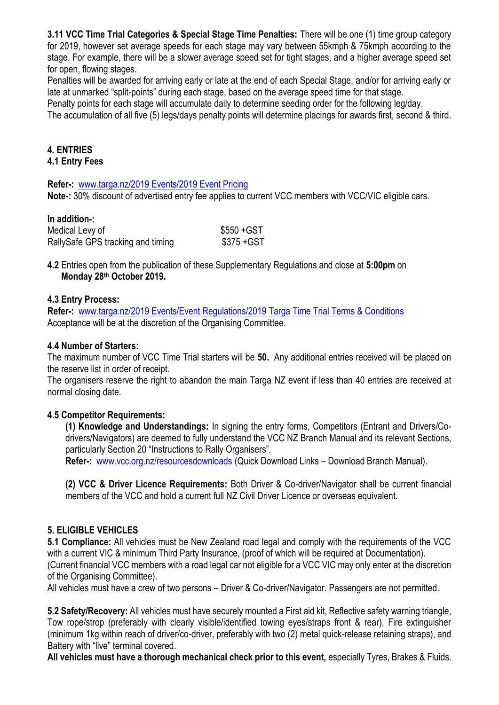**3.11 VCC Time Trial Categories & Special Stage Time Penalties:** There will be one (1) time group category for 2019, however set average speeds for each stage may vary between 55kmph & 75kmph according to the stage. For example, there will be a slower average speed set for tight stages, and a higher average speed set for open, flowing stages.

Penalties will be awarded for arriving early or late at the end of each Special Stage, and/or for arriving early or late at unmarked "split-points" during each stage, based on the average speed time for that stage.

Penalty points for each stage will accumulate daily to determine seeding order for the following leg/day.

The accumulation of all five (5) legs/days penalty points will determine placings for awards first, second & third.

## **4. ENTRIES**

#### **4.1 Entry Fees**

**Refer-:** [www.targa.nz/2019 Events/2019 Event Pricing](http://www.targa.nz/2019%20Events/2019%20Event%20Pricing)

**Note-:** 30% discount of advertised entry fee applies to current VCC members with VCC/VIC eligible cars.

#### **In addition-:**

| Medical Levy of                   | \$550 + GST |
|-----------------------------------|-------------|
| RallySafe GPS tracking and timing | \$375 + GST |

**4.2** Entries open from the publication of these Supplementary Regulations and close at **5:00pm** on **Monday 28th October 2019.**

#### **4.3 Entry Process:**

**Refer-:** [www.targa.nz/2019 Events/Event Regulations/2019 Targa Time Trial Terms & Conditions](http://www.targa.nz/2019%20Events/Event%20Regulations/2019%20Targa%20Time%20Trial%20Terms%20&%20Conditions) Acceptance will be at the discretion of the Organising Committee.

#### **4.4 Number of Starters:**

The maximum number of VCC Time Trial starters will be **50.** Any additional entries received will be placed on the reserve list in order of receipt.

The organisers reserve the right to abandon the main Targa NZ event if less than 40 entries are received at normal closing date.

#### **4.5 Competitor Requirements:**

**(1) Knowledge and Understandings:** In signing the entry forms, Competitors (Entrant and Drivers/Codrivers/Navigators) are deemed to fully understand the VCC NZ Branch Manual and its relevant Sections, particularly Section 20 "Instructions to Rally Organisers".

**Refer-:** [www.vcc.org.nz/resourcesdownloads](http://www.vcc.org.nz/resourcesdownloads) (Quick Download Links – Download Branch Manual).

**(2) VCC & Driver Licence Requirements:** Both Driver & Co-driver/Navigator shall be current financial members of the VCC and hold a current full NZ Civil Driver Licence or overseas equivalent.

#### **5. ELIGIBLE VEHICLES**

**5.1 Compliance:** All vehicles must be New Zealand road legal and comply with the requirements of the VCC with a current VIC & minimum Third Party Insurance, (proof of which will be required at Documentation). (Current financial VCC members with a road legal car not eligible for a VCC VIC may only enter at the discretion of the Organising Committee).

All vehicles must have a crew of two persons – Driver & Co-driver/Navigator. Passengers are not permitted.

**5.2 Safety/Recovery:** All vehicles must have securely mounted a First aid kit, Reflective safety warning triangle, Tow rope/strop (preferably with clearly visible/identified towing eyes/straps front & rear), Fire extinguisher (minimum 1kg within reach of driver/co-driver, preferably with two (2) metal quick-release retaining straps), and Battery with "live" terminal covered.

**All vehicles must have a thorough mechanical check prior to this event,** especially Tyres, Brakes & Fluids.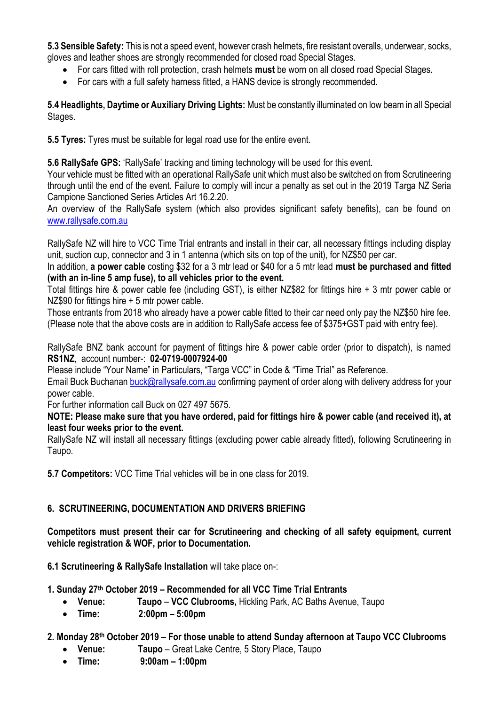**5.3 Sensible Safety:** This is not a speed event, however crash helmets, fire resistant overalls, underwear, socks, gloves and leather shoes are strongly recommended for closed road Special Stages.

- For cars fitted with roll protection, crash helmets **must** be worn on all closed road Special Stages.
- For cars with a full safety harness fitted, a HANS device is strongly recommended.

**5.4 Headlights, Daytime or Auxiliary Driving Lights:** Must be constantly illuminated on low beam in all Special Stages.

**5.5 Tyres:** Tyres must be suitable for legal road use for the entire event.

**5.6 RallySafe GPS:** 'RallySafe' tracking and timing technology will be used for this event.

Your vehicle must be fitted with an operational RallySafe unit which must also be switched on from Scrutineering through until the end of the event. Failure to comply will incur a penalty as set out in the 2019 Targa NZ Seria Campione Sanctioned Series Articles Art 16.2.20.

An overview of the RallySafe system (which also provides significant safety benefits), can be found on [www.rallysafe.com.au](http://www.rallysafe.com.au/)

RallySafe NZ will hire to VCC Time Trial entrants and install in their car, all necessary fittings including display unit, suction cup, connector and 3 in 1 antenna (which sits on top of the unit), for NZ\$50 per car.

In addition, **a power cable** costing \$32 for a 3 mtr lead or \$40 for a 5 mtr lead **must be purchased and fitted (with an in-line 5 amp fuse), to all vehicles prior to the event.**

Total fittings hire & power cable fee (including GST), is either NZ\$82 for fittings hire + 3 mtr power cable or NZ\$90 for fittings hire + 5 mtr power cable.

Those entrants from 2018 who already have a power cable fitted to their car need only pay the NZ\$50 hire fee. (Please note that the above costs are in addition to RallySafe access fee of \$375+GST paid with entry fee).

RallySafe BNZ bank account for payment of fittings hire & power cable order (prior to dispatch), is named **RS1NZ**, account number-: **02-0719-0007924-00** 

Please include "Your Name" in Particulars, "Targa VCC" in Code & "Time Trial" as Reference.

Email Buck Buchanan [buck@rallysafe.com.au](mailto:buck@rallysafe.com.au) confirming payment of order along with delivery address for your power cable.

For further information call Buck on 027 497 5675.

#### **NOTE: Please make sure that you have ordered, paid for fittings hire & power cable (and received it), at least four weeks prior to the event.**

RallySafe NZ will install all necessary fittings (excluding power cable already fitted), following Scrutineering in Taupo.

**5.7 Competitors:** VCC Time Trial vehicles will be in one class for 2019.

# **6. SCRUTINEERING, DOCUMENTATION AND DRIVERS BRIEFING**

**Competitors must present their car for Scrutineering and checking of all safety equipment, current vehicle registration & WOF, prior to Documentation.**

**6.1 Scrutineering & RallySafe Installation** will take place on-:

# **1. Sunday 27th October 2019 – Recommended for all VCC Time Trial Entrants**

- **Venue: Taupo VCC Clubrooms,** Hickling Park, AC Baths Avenue, Taupo
- **Time: 2:00pm – 5:00pm**

# **2. Monday 28th October 2019 – For those unable to attend Sunday afternoon at Taupo VCC Clubrooms**

- **Venue: Taupo** Great Lake Centre, 5 Story Place, Taupo
- **Time: 9:00am – 1:00pm**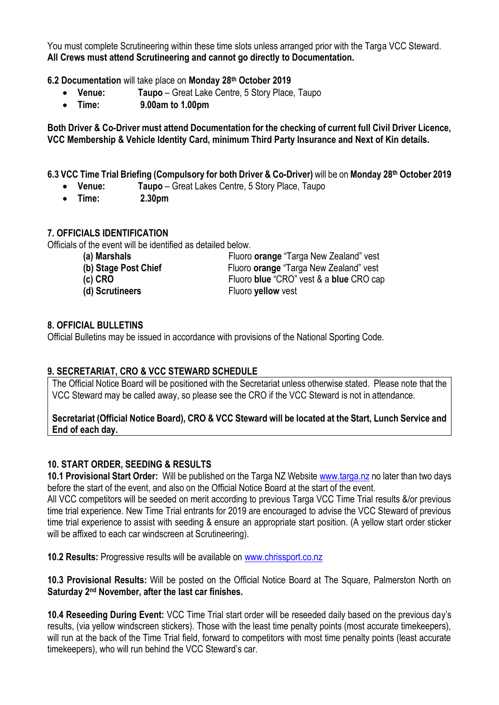You must complete Scrutineering within these time slots unless arranged prior with the Targa VCC Steward. **All Crews must attend Scrutineering and cannot go directly to Documentation.**

**6.2 Documentation** will take place on **Monday 28th October 2019**

- **Venue: Taupo** Great Lake Centre, 5 Story Place, Taupo
- **Time: 9.00am to 1.00pm**

**Both Driver & Co-Driver must attend Documentation for the checking of current full Civil Driver Licence, VCC Membership & Vehicle Identity Card, minimum Third Party Insurance and Next of Kin details.**

**6.3 VCC Time Trial Briefing (Compulsory for both Driver & Co-Driver)** will be on **Monday 28th October 2019**

- **Venue: Taupo**  Great Lakes Centre, 5 Story Place, Taupo
- **Time: 2.30pm**

## **7. OFFICIALS IDENTIFICATION**

Officials of the event will be identified as detailed below.

| (a) Marshals         | Fluoro orange "Targa New Zealand" vest        |
|----------------------|-----------------------------------------------|
| (b) Stage Post Chief | Fluoro <b>orange</b> "Targa New Zealand" vest |
| $(c)$ CRO            | Fluoro blue "CRO" vest & a blue CRO cap       |
| (d) Scrutineers      | Fluoro yellow vest                            |

## **8. OFFICIAL BULLETINS**

Official Bulletins may be issued in accordance with provisions of the National Sporting Code.

# **9. SECRETARIAT, CRO & VCC STEWARD SCHEDULE**

The Official Notice Board will be positioned with the Secretariat unless otherwise stated. Please note that the VCC Steward may be called away, so please see the CRO if the VCC Steward is not in attendance.

#### **Secretariat (Official Notice Board), CRO & VCC Steward will be located at the Start, Lunch Service and End of each day.**

# **10. START ORDER, SEEDING & RESULTS**

**10.1 Provisional Start Order:** Will be published on the Targa NZ Website [www.targa.nz](http://www.targa.nz/) no later than two days before the start of the event, and also on the Official Notice Board at the start of the event.

All VCC competitors will be seeded on merit according to previous Targa VCC Time Trial results &/or previous time trial experience. New Time Trial entrants for 2019 are encouraged to advise the VCC Steward of previous time trial experience to assist with seeding & ensure an appropriate start position. (A yellow start order sticker will be affixed to each car windscreen at Scrutineering).

**10.2 Results:** Progressive results will be available on [www.chrissport.co.nz](http://www.chrissport.co.nz/)

**10.3 Provisional Results:** Will be posted on the Official Notice Board at The Square, Palmerston North on **Saturday 2nd November, after the last car finishes.**

**10.4 Reseeding During Event:** VCC Time Trial start order will be reseeded daily based on the previous day's results, (via yellow windscreen stickers). Those with the least time penalty points (most accurate timekeepers), will run at the back of the Time Trial field, forward to competitors with most time penalty points (least accurate timekeepers), who will run behind the VCC Steward's car.